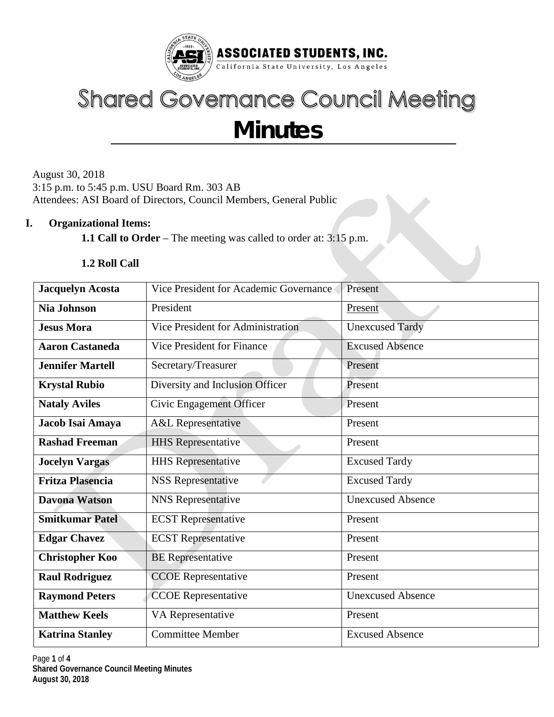

# **Shared Governance Council Meeting Minutes**

August 30, 2018 3:15 p.m. to 5:45 p.m. USU Board Rm. 303 AB Attendees: ASI Board of Directors, Council Members, General Public

## **I. Organizational Items:**

**1.1 Call to Order** – The meeting was called to order at: 3:15 p.m.

## **1.2 Roll Call**

| <b>Jacquelyn Acosta</b> | Vice President for Academic Governance | Present                  |  |  |
|-------------------------|----------------------------------------|--------------------------|--|--|
| <b>Nia Johnson</b>      | President                              | Present                  |  |  |
| <b>Jesus Mora</b>       | Vice President for Administration      | <b>Unexcused Tardy</b>   |  |  |
| <b>Aaron Castaneda</b>  | Vice President for Finance             | <b>Excused Absence</b>   |  |  |
| <b>Jennifer Martell</b> | Secretary/Treasurer                    | Present                  |  |  |
| <b>Krystal Rubio</b>    | Diversity and Inclusion Officer        | Present                  |  |  |
| <b>Nataly Aviles</b>    | Civic Engagement Officer               | Present                  |  |  |
| Jacob Isai Amaya        | <b>A&amp;L</b> Representative          | Present                  |  |  |
| <b>Rashad Freeman</b>   | <b>HHS</b> Representative              | Present                  |  |  |
| <b>Jocelyn Vargas</b>   | <b>HHS</b> Representative              | <b>Excused Tardy</b>     |  |  |
| <b>Fritza Plasencia</b> | <b>NSS Representative</b>              | <b>Excused Tardy</b>     |  |  |
| <b>Davona Watson</b>    | <b>NNS</b> Representative              | <b>Unexcused Absence</b> |  |  |
| <b>Smitkumar Patel</b>  | <b>ECST</b> Representative             | Present                  |  |  |
| <b>Edgar Chavez</b>     | <b>ECST</b> Representative             | Present                  |  |  |
| <b>Christopher Koo</b>  | <b>BE</b> Representative               | Present                  |  |  |
| <b>Raul Rodriguez</b>   | <b>CCOE</b> Representative             | Present                  |  |  |
| <b>Raymond Peters</b>   | <b>CCOE</b> Representative             | <b>Unexcused Absence</b> |  |  |
| <b>Matthew Keels</b>    | VA Representative                      | Present                  |  |  |
| <b>Katrina Stanley</b>  | <b>Committee Member</b>                | <b>Excused Absence</b>   |  |  |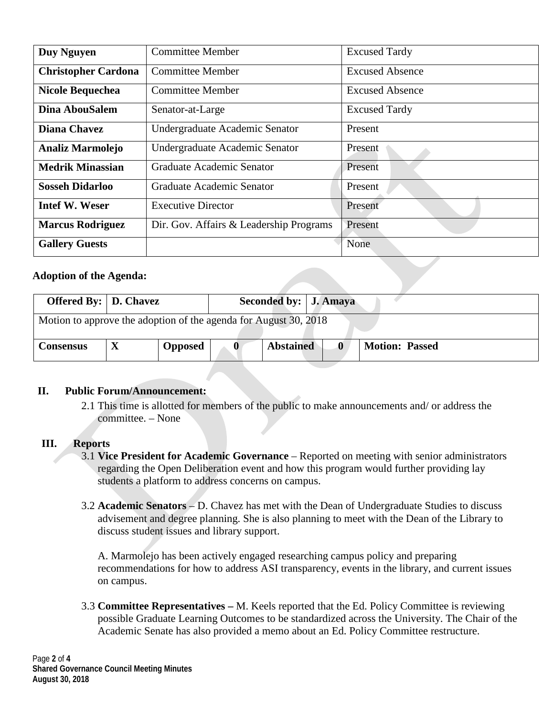| <b>Duy Nguyen</b>          | <b>Committee Member</b>                 | <b>Excused Tardy</b>   |  |  |
|----------------------------|-----------------------------------------|------------------------|--|--|
| <b>Christopher Cardona</b> | <b>Committee Member</b>                 | <b>Excused Absence</b> |  |  |
| <b>Nicole Bequechea</b>    | <b>Committee Member</b>                 | <b>Excused Absence</b> |  |  |
| Dina AbouSalem             | Senator-at-Large                        | <b>Excused Tardy</b>   |  |  |
| <b>Diana Chavez</b>        | Undergraduate Academic Senator          | Present                |  |  |
| <b>Analiz Marmolejo</b>    | Undergraduate Academic Senator          | Present                |  |  |
| <b>Medrik Minassian</b>    | Graduate Academic Senator               | Present                |  |  |
| <b>Sosseh Didarloo</b>     | Graduate Academic Senator               | Present                |  |  |
| <b>Intef W. Weser</b>      | <b>Executive Director</b>               | Present                |  |  |
| <b>Marcus Rodriguez</b>    | Dir. Gov. Affairs & Leadership Programs | Present                |  |  |
| <b>Gallery Guests</b>      |                                         | None                   |  |  |

## **Adoption of the Agenda:**

| <b>Offered By:</b>   <b>D.</b> Chavez                            |  |                | Seconded by: J. Amaya |                  |  |                       |  |
|------------------------------------------------------------------|--|----------------|-----------------------|------------------|--|-----------------------|--|
| Motion to approve the adoption of the agenda for August 30, 2018 |  |                |                       |                  |  |                       |  |
| <b>Consensus</b>                                                 |  | <b>Opposed</b> | $\bf{0}$              | <b>Abstained</b> |  | <b>Motion: Passed</b> |  |

#### **II. Public Forum/Announcement:**

2.1 This time is allotted for members of the public to make announcements and/ or address the committee. – None

#### **III. Reports**

- 3.1 **Vice President for Academic Governance** Reported on meeting with senior administrators regarding the Open Deliberation event and how this program would further providing lay students a platform to address concerns on campus.
- 3.2 **Academic Senators**  D. Chavez has met with the Dean of Undergraduate Studies to discuss advisement and degree planning. She is also planning to meet with the Dean of the Library to discuss student issues and library support.

A. Marmolejo has been actively engaged researching campus policy and preparing recommendations for how to address ASI transparency, events in the library, and current issues on campus.

3.3 **Committee Representatives –** M. Keels reported that the Ed. Policy Committee is reviewing possible Graduate Learning Outcomes to be standardized across the University. The Chair of the Academic Senate has also provided a memo about an Ed. Policy Committee restructure.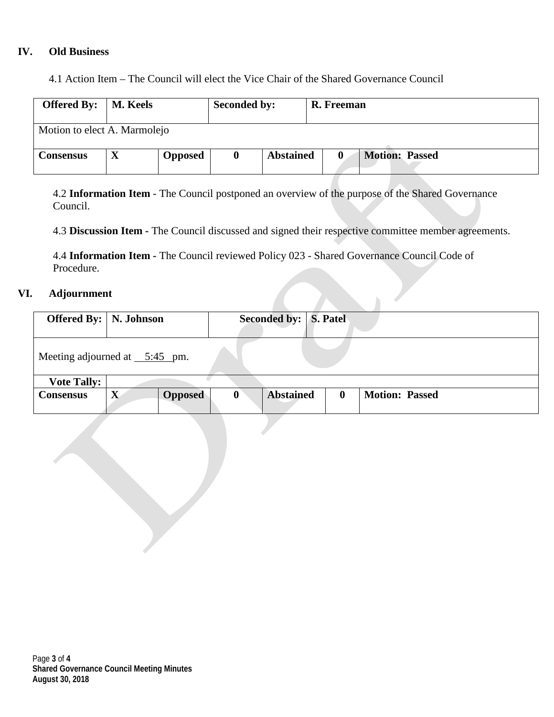## **IV. Old Business**

4.1 Action Item – The Council will elect the Vice Chair of the Shared Governance Council

| <b>Offered By:</b>   <b>M.</b> Keels |  |                | <b>Seconded by:</b> |                  | R. Freeman |                       |  |
|--------------------------------------|--|----------------|---------------------|------------------|------------|-----------------------|--|
| Motion to elect A. Marmolejo         |  |                |                     |                  |            |                       |  |
| <b>Consensus</b>                     |  | <b>Opposed</b> |                     | <b>Abstained</b> |            | <b>Motion: Passed</b> |  |

4.2 **Information Item** - The Council postponed an overview of the purpose of the Shared Governance Council.

4.3 **Discussion Item -** The Council discussed and signed their respective committee member agreements.

4.4 **Information Item -** The Council reviewed Policy 023 - Shared Governance Council Code of Procedure.

#### **VI. Adjournment**

| <b>Offered By:</b>   N. Johnson           |             |                |   | Seconded by:   S. Patel |              |                       |
|-------------------------------------------|-------------|----------------|---|-------------------------|--------------|-----------------------|
| Meeting adjourned at $\frac{5:45}{5}$ pm. |             |                |   |                         |              |                       |
| <b>Vote Tally:</b>                        |             |                |   |                         |              |                       |
| <b>Consensus</b>                          | $\mathbf X$ | <b>Opposed</b> | 0 | <b>Abstained</b>        | $\mathbf{0}$ | <b>Motion: Passed</b> |